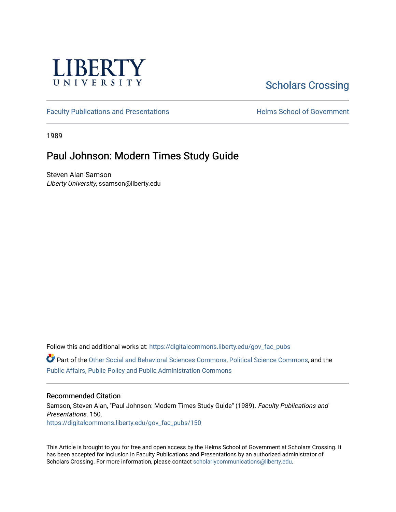

# [Scholars Crossing](https://digitalcommons.liberty.edu/)

[Faculty Publications and Presentations](https://digitalcommons.liberty.edu/gov_fac_pubs) **Exercise School of Government** 

1989

## Paul Johnson: Modern Times Study Guide

Steven Alan Samson Liberty University, ssamson@liberty.edu

Follow this and additional works at: [https://digitalcommons.liberty.edu/gov\\_fac\\_pubs](https://digitalcommons.liberty.edu/gov_fac_pubs?utm_source=digitalcommons.liberty.edu%2Fgov_fac_pubs%2F150&utm_medium=PDF&utm_campaign=PDFCoverPages)

Part of the [Other Social and Behavioral Sciences Commons](http://network.bepress.com/hgg/discipline/437?utm_source=digitalcommons.liberty.edu%2Fgov_fac_pubs%2F150&utm_medium=PDF&utm_campaign=PDFCoverPages), [Political Science Commons](http://network.bepress.com/hgg/discipline/386?utm_source=digitalcommons.liberty.edu%2Fgov_fac_pubs%2F150&utm_medium=PDF&utm_campaign=PDFCoverPages), and the [Public Affairs, Public Policy and Public Administration Commons](http://network.bepress.com/hgg/discipline/393?utm_source=digitalcommons.liberty.edu%2Fgov_fac_pubs%2F150&utm_medium=PDF&utm_campaign=PDFCoverPages)

#### Recommended Citation

Samson, Steven Alan, "Paul Johnson: Modern Times Study Guide" (1989). Faculty Publications and Presentations. 150. [https://digitalcommons.liberty.edu/gov\\_fac\\_pubs/150](https://digitalcommons.liberty.edu/gov_fac_pubs/150?utm_source=digitalcommons.liberty.edu%2Fgov_fac_pubs%2F150&utm_medium=PDF&utm_campaign=PDFCoverPages)

This Article is brought to you for free and open access by the Helms School of Government at Scholars Crossing. It has been accepted for inclusion in Faculty Publications and Presentations by an authorized administrator of Scholars Crossing. For more information, please contact [scholarlycommunications@liberty.edu.](mailto:scholarlycommunications@liberty.edu)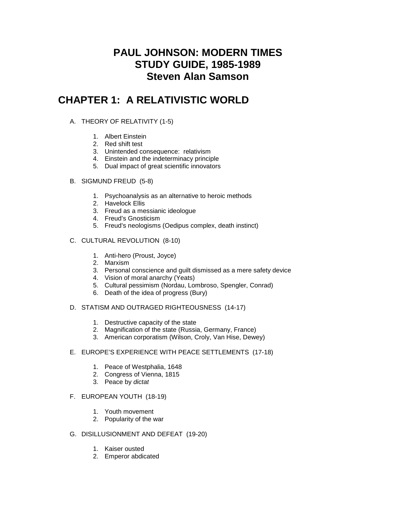## **PAUL JOHNSON: MODERN TIMES STUDY GUIDE, 1985-1989 Steven Alan Samson**

## **CHAPTER 1: A RELATIVISTIC WORLD**

## A. THEORY OF RELATIVITY (1-5)

- 1. Albert Einstein
- 2. Red shift test
- 3. Unintended consequence: relativism
- 4. Einstein and the indeterminacy principle
- 5. Dual impact of great scientific innovators
- B. SIGMUND FREUD (5-8)
	- 1. Psychoanalysis as an alternative to heroic methods
	- 2. Havelock Ellis
	- 3. Freud as a messianic ideologue
	- 4. Freud's Gnosticism
	- 5. Freud's neologisms (Oedipus complex, death instinct)
- C. CULTURAL REVOLUTION (8-10)
	- 1. Anti-hero (Proust, Joyce)
	- 2. Marxism
	- 3. Personal conscience and guilt dismissed as a mere safety device
	- 4. Vision of moral anarchy (Yeats)
	- 5. Cultural pessimism (Nordau, Lombroso, Spengler, Conrad)
	- 6. Death of the idea of progress (Bury)

## D. STATISM AND OUTRAGED RIGHTEOUSNESS (14-17)

- 1. Destructive capacity of the state
- 2. Magnification of the state (Russia, Germany, France)
- 3. American corporatism (Wilson, Croly, Van Hise, Dewey)

## E. EUROPE'S EXPERIENCE WITH PEACE SETTLEMENTS (17-18)

- 1. Peace of Westphalia, 1648
- 2. Congress of Vienna, 1815
- 3. Peace by *dictat*

## F. EUROPEAN YOUTH (18-19)

- 1. Youth movement
- 2. Popularity of the war
- G. DISILLUSIONMENT AND DEFEAT (19-20)
	- 1. Kaiser ousted
	- 2. Emperor abdicated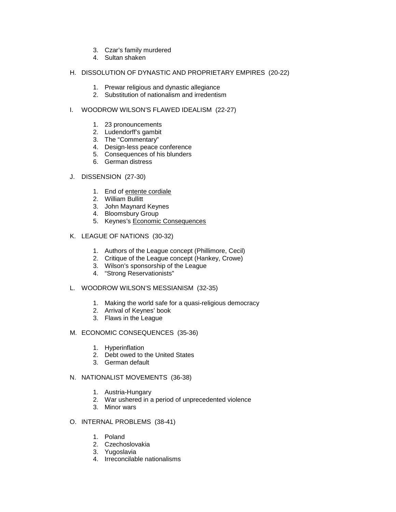- 3. Czar's family murdered
- 4. Sultan shaken

#### H. DISSOLUTION OF DYNASTIC AND PROPRIETARY EMPIRES (20-22)

- 1. Prewar religious and dynastic allegiance
- 2. Substitution of nationalism and irredentism

#### I. WOODROW WILSON'S FLAWED IDEALISM (22-27)

- 1. 23 pronouncements
- 2. Ludendorff's gambit
- 3. The "Commentary"
- 4. Design-less peace conference
- 5. Consequences of his blunders
- 6. German distress
- J. DISSENSION (27-30)
	- 1. End of entente cordiale
	- 2. William Bullitt
	- 3. John Maynard Keynes
	- 4. Bloomsbury Group
	- 5. Keynes's Economic Consequences
- K. LEAGUE OF NATIONS (30-32)
	- 1. Authors of the League concept (Phillimore, Cecil)
	- 2. Critique of the League concept (Hankey, Crowe)
	- 3. Wilson's sponsorship of the League
	- 4. "Strong Reservationists"
- L. WOODROW WILSON'S MESSIANISM (32-35)
	- 1. Making the world safe for a quasi-religious democracy
	- 2. Arrival of Keynes' book
	- 3. Flaws in the League
- M. ECONOMIC CONSEQUENCES (35-36)
	- 1. Hyperinflation
	- 2. Debt owed to the United States
	- 3. German default
- N. NATIONALIST MOVEMENTS (36-38)
	- 1. Austria-Hungary
	- 2. War ushered in a period of unprecedented violence
	- 3. Minor wars
- O. INTERNAL PROBLEMS (38-41)
	- 1. Poland
	- 2. Czechoslovakia
	- 3. Yugoslavia
	- 4. Irreconcilable nationalisms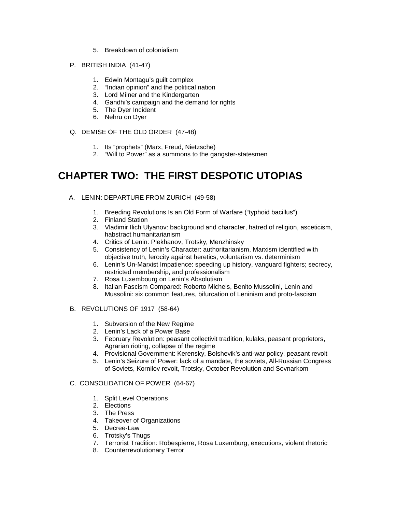- 5. Breakdown of colonialism
- P. BRITISH INDIA (41-47)
	- 1. Edwin Montagu's guilt complex
	- 2. "Indian opinion" and the political nation
	- 3. Lord Milner and the Kindergarten
	- 4. Gandhi's campaign and the demand for rights
	- 5. The Dyer Incident
	- 6. Nehru on Dyer
- Q. DEMISE OF THE OLD ORDER (47-48)
	- 1. Its "prophets" (Marx, Freud, Nietzsche)
	- 2. "Will to Power" as a summons to the gangster-statesmen

## **CHAPTER TWO: THE FIRST DESPOTIC UTOPIAS**

- A. LENIN: DEPARTURE FROM ZURICH (49-58)
	- 1. Breeding Revolutions Is an Old Form of Warfare ("typhoid bacillus")
	- 2. Finland Station
	- 3. Vladimir Ilich Ulyanov: background and character, hatred of religion, asceticism, habstract humanitarianism
	- 4. Critics of Lenin: Plekhanov, Trotsky, Menzhinsky
	- 5. Consistency of Lenin's Character: authoritarianism, Marxism identified with objective truth, ferocity against heretics, voluntarism vs. determinism
	- 6. Lenin's Un-Marxist Impatience: speeding up history, vanguard fighters; secrecy, restricted membership, and professionalism
	- 7. Rosa Luxembourg on Lenin's Absolutism
	- 8. Italian Fascism Compared: Roberto Michels, Benito Mussolini, Lenin and Mussolini: six common features, bifurcation of Leninism and proto-fascism

## B. REVOLUTIONS OF 1917 (58-64)

- 1. Subversion of the New Regime
- 2. Lenin's Lack of a Power Base
- 3. February Revolution: peasant collectivit tradition, kulaks, peasant proprietors, Agrarian rioting, collapse of the regime
- 4. Provisional Government: Kerensky, Bolshevik's anti-war policy, peasant revolt
- 5. Lenin's Seizure of Power: lack of a mandate, the soviets, All-Russian Congress of Soviets, Kornilov revolt, Trotsky, October Revolution and Sovnarkom

## C. CONSOLIDATION OF POWER (64-67)

- 1. Split Level Operations
- 2. Elections
- 3. The Press
- 4. Takeover of Organizations
- 5. Decree-Law
- 6. Trotsky's Thugs
- 7. Terrorist Tradition: Robespierre, Rosa Luxemburg, executions, violent rhetoric
- 8. Counterrevolutionary Terror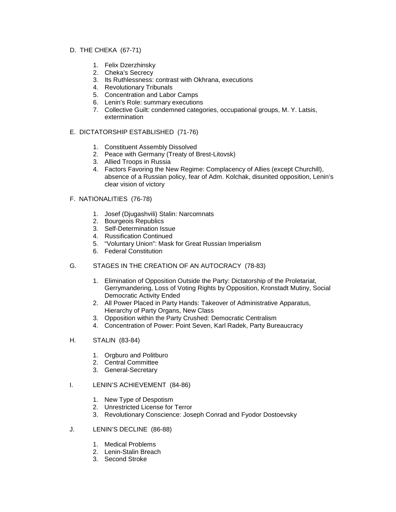#### D. THE CHEKA (67-71)

- 1. Felix Dzerzhinsky
- 2. Cheka's Secrecy
- 3. Its Ruthlessness: contrast with Okhrana, executions
- 4. Revolutionary Tribunals
- 5. Concentration and Labor Camps
- 6. Lenin's Role: summary executions
- 7. Collective Guilt: condemned categories, occupational groups, M. Y. Latsis, extermination

#### E. DICTATORSHIP ESTABLISHED (71-76)

- 1. Constituent Assembly Dissolved
- 2. Peace with Germany (Treaty of Brest-Litovsk)
- 3. Allied Troops in Russia
- 4. Factors Favoring the New Regime: Complacency of Allies (except Churchill), absence of a Russian policy, fear of Adm. Kolchak, disunited opposition, Lenin's clear vision of victory
- F. NATIONALITIES (76-78)
	- 1. Josef (Djugashvili) Stalin: Narcomnats
	- 2. Bourgeois Republics
	- 3. Self-Determination Issue
	- 4. Russification Continued
	- 5. "Voluntary Union": Mask for Great Russian Imperialism
	- 6. Federal Constitution
- G. STAGES IN THE CREATION OF AN AUTOCRACY (78-83)
	- 1. Elimination of Opposition Outside the Party: Dictatorship of the Proletariat, Gerrymandering, Loss of Voting Rights by Opposition, Kronstadt Mutiny, Social Democratic Activity Ended
	- 2. All Power Placed in Party Hands: Takeover of Administrative Apparatus, Hierarchy of Party Organs, New Class
	- 3. Opposition within the Party Crushed: Democratic Centralism
	- 4. Concentration of Power: Point Seven, Karl Radek, Party Bureaucracy
- H. STALIN (83-84)
	- 1. Orgburo and Politburo
	- 2. Central Committee
	- 3. General-Secretary
- I. LENIN'S ACHIEVEMENT (84-86)
	- 1. New Type of Despotism
	- 2. Unrestricted License for Terror
	- 3. Revolutionary Conscience: Joseph Conrad and Fyodor Dostoevsky
- J. LENIN'S DECLINE (86-88)
	- 1. Medical Problems
	- 2. Lenin-Stalin Breach
	- 3. Second Stroke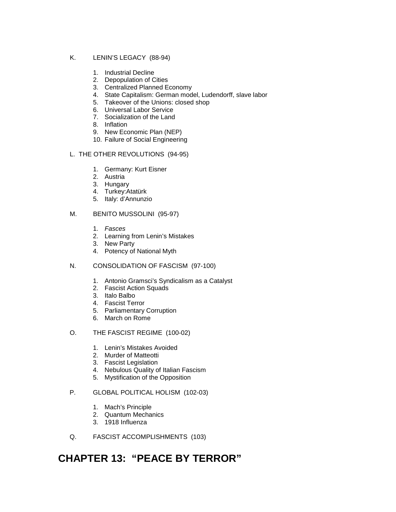## K. LENIN'S LEGACY (88-94)

- 1. Industrial Decline
- 2. Depopulation of Cities
- 3. Centralized Planned Economy
- 4. State Capitalism: German model, Ludendorff, slave labor
- 5. Takeover of the Unions: closed shop
- 6. Universal Labor Service
- 7. Socialization of the Land
- 8. Inflation
- 9. New Economic Plan (NEP)
- 10. Failure of Social Engineering

## L. THE OTHER REVOLUTIONS (94-95)

- 1. Germany: Kurt Eisner
- 2. Austria
- 3. Hungary
- 4. Turkey:Atatürk
- 5. Italy: d'Annunzio

## M. BENITO MUSSOLINI (95-97)

- 1. *Fasces*
- 2. Learning from Lenin's Mistakes
- 3. New Party
- 4. Potency of National Myth
- N. CONSOLIDATION OF FASCISM (97-100)
	- 1. Antonio Gramsci's Syndicalism as a Catalyst
	- 2. Fascist Action Squads
	- 3. Italo Balbo
	- 4. Fascist Terror
	- 5. Parliamentary Corruption
	- 6. March on Rome
- O. THE FASCIST REGIME (100-02)
	- 1. Lenin's Mistakes Avoided
	- 2. Murder of Matteotti
	- 3. Fascist Legislation
	- 4. Nebulous Quality of Italian Fascism
	- 5. Mystification of the Opposition

## P. GLOBAL POLITICAL HOLISM (102-03)

- 1. Mach's Principle
- 2. Quantum Mechanics
- 3. 1918 Influenza
- Q. FASCIST ACCOMPLISHMENTS (103)

# **CHAPTER 13: "PEACE BY TERROR"**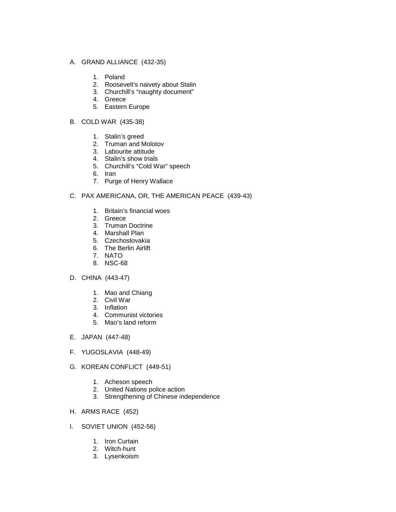#### A. GRAND ALLIANCE (432-35)

- 1. Poland
- 2. Roosevelt's naivety about Stalin
- 3. Churchill's "naughty document"
- 4. Greece
- 5. Eastern Europe
- B. COLD WAR (435-38)
	- 1. Stalin's greed
	- 2. Truman and Molotov
	- 3. Labourite attitude
	- 4. Stalin's show trials
	- 5. Churchill's "Cold War" speech
	- 6. Iran
	- 7. Purge of Henry Wallace

#### C. PAX AMERICANA, OR, THE AMERICAN PEACE (439-43)

- 1. Britain's financial woes
- 2. Greece
- 3. Truman Doctrine
- 4. Marshall Plan
- 5. Czechoslovakia
- 6. The Berlin Airlift
- 7. NATO
- 8. NSC-68

#### D. CHINA (443-47)

- 1. Mao and Chiang
- 2. Civil War
- 3. Inflation
- 4. Communist victories
- 5. Mao's land reform
- E. JAPAN (447-48)
- F. YUGOSLAVIA (448-49)
- G. KOREAN CONFLICT (449-51)
	- 1. Acheson speech
	- 2. United Nations police action
	- 3. Strengthening of Chinese independence

#### H. ARMS RACE (452)

- I. SOVIET UNION (452-56)
	- 1. Iron Curtain
	- 2. Witch-hunt
	- 3. Lysenkoism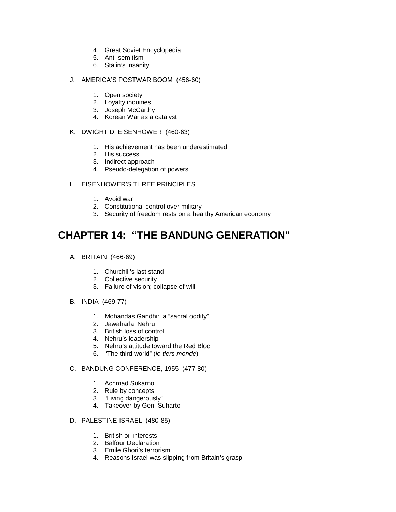- 4. Great Soviet Encyclopedia
- 5. Anti-semitism
- 6. Stalin's insanity
- J. AMERICA'S POSTWAR BOOM (456-60)
	- 1. Open society
	- 2. Loyalty inquiries
	- 3. Joseph McCarthy
	- 4. Korean War as a catalyst
- K. DWIGHT D. EISENHOWER (460-63)
	- 1. His achievement has been underestimated
	- 2. His success
	- 3. Indirect approach
	- 4. Pseudo-delegation of powers
- L. EISENHOWER'S THREE PRINCIPLES
	- 1. Avoid war
	- 2. Constitutional control over military
	- 3. Security of freedom rests on a healthy American economy

# **CHAPTER 14: "THE BANDUNG GENERATION"**

- A. BRITAIN (466-69)
	- 1. Churchill's last stand
	- 2. Collective security
	- 3. Failure of vision; collapse of will
- B. INDIA (469-77)
	- 1. Mohandas Gandhi: a "sacral oddity"
	- 2. Jawaharlal Nehru
	- 3. British loss of control
	- 4. Nehru's leadership
	- 5. Nehru's attitude toward the Red Bloc
	- 6. "The third world" (*le tiers monde*)
- C. BANDUNG CONFERENCE, 1955 (477-80)
	- 1. Achmad Sukarno
	- 2. Rule by concepts
	- 3. "Living dangerously"
	- 4. Takeover by Gen. Suharto
- D. PALESTINE-ISRAEL (480-85)
	- 1. British oil interests
	- 2. Balfour Declaration
	- 3. Emile Ghori's terrorism
	- 4. Reasons Israel was slipping from Britain's grasp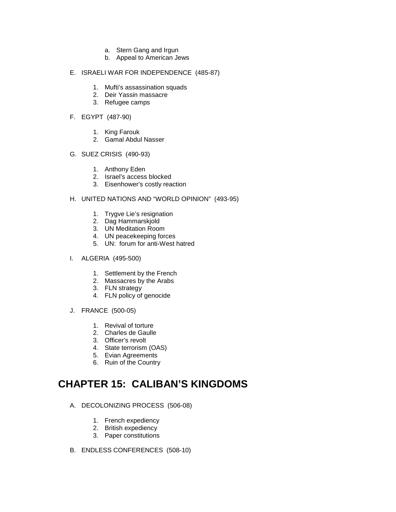- a. Stern Gang and Irgun
- b. Appeal to American Jews

#### E. ISRAELI WAR FOR INDEPENDENCE (485-87)

- 1. Mufti's assassination squads
- 2. Deir Yassin massacre
- 3. Refugee camps

### F. EGYPT (487-90)

- 1. King Farouk
- 2. Gamal Abdul Nasser

#### G. SUEZ CRISIS (490-93)

- 1. Anthony Eden
- 2. Israel's access blocked
- 3. Eisenhower's costly reaction

## H. UNITED NATIONS AND "WORLD OPINION" (493-95)

- 1. Trygve Lie's resignation
- 2. Dag Hammarskjold
- 3. UN Meditation Room
- 4. UN peacekeeping forces
- 5. UN: forum for anti-West hatred
- I. ALGERIA (495-500)
	- 1. Settlement by the French
	- 2. Massacres by the Arabs
	- 3. FLN strategy
	- 4. FLN policy of genocide
- J. FRANCE (500-05)
	- 1. Revival of torture
	- 2. Charles de Gaulle
	- 3. Officer's revolt
	- 4. State terrorism (OAS)
	- 5. Evian Agreements
	- 6. Ruin of the Country

# **CHAPTER 15: CALIBAN'S KINGDOMS**

- A. DECOLONIZING PROCESS (506-08)
	- 1. French expediency
	- 2. British expediency
	- 3. Paper constitutions
- B. ENDLESS CONFERENCES (508-10)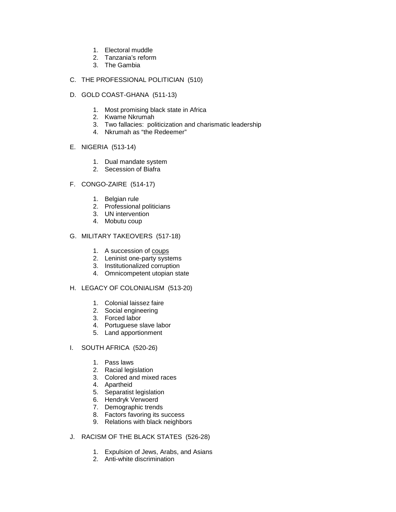- 1. Electoral muddle
- 2. Tanzania's reform
- 3. The Gambia
- C. THE PROFESSIONAL POLITICIAN (510)
- D. GOLD COAST-GHANA (511-13)
	- 1. Most promising black state in Africa
	- 2. Kwame Nkrumah
	- 3. Two fallacies: politicization and charismatic leadership
	- 4. Nkrumah as "the Redeemer"
- E. NIGERIA (513-14)
	- 1. Dual mandate system
	- 2. Secession of Biafra
- F. CONGO-ZAIRE (514-17)
	- 1. Belgian rule
	- 2. Professional politicians
	- 3. UN intervention
	- 4. Mobutu coup

### G. MILITARY TAKEOVERS (517-18)

- 1. A succession of coups
- 2. Leninist one-party systems
- 3. Institutionalized corruption
- 4. Omnicompetent utopian state

### H. LEGACY OF COLONIALISM (513-20)

- 1. Colonial laissez faire
- 2. Social engineering
- 3. Forced labor
- 4. Portuguese slave labor
- 5. Land apportionment

#### I. SOUTH AFRICA (520-26)

- 1. Pass laws
- 2. Racial legislation
- 3. Colored and mixed races
- 4. Apartheid
- 5. Separatist legislation
- 6. Hendryk Verwoerd
- 7. Demographic trends
- 8. Factors favoring its success
- 9. Relations with black neighbors
- J. RACISM OF THE BLACK STATES (526-28)
	- 1. Expulsion of Jews, Arabs, and Asians
	- 2. Anti-white discrimination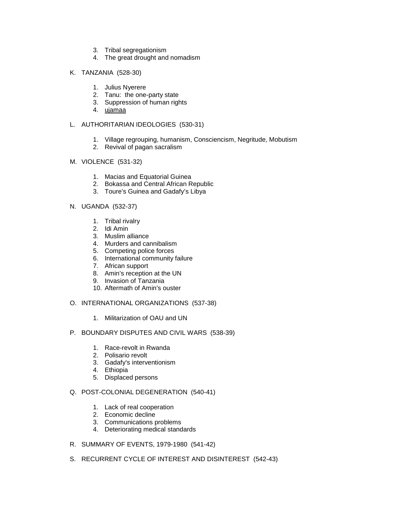- 3. Tribal segregationism
- 4. The great drought and nomadism
- K. TANZANIA (528-30)
	- 1. Julius Nyerere
	- 2. Tanu: the one-party state
	- 3. Suppression of human rights
	- 4. ujamaa

### L. AUTHORITARIAN IDEOLOGIES (530-31)

- 1. Village regrouping, humanism, Consciencism, Negritude, Mobutism
- 2. Revival of pagan sacralism

#### M. VIOLENCE (531-32)

- 1. Macias and Equatorial Guinea
- 2. Bokassa and Central African Republic
- 3. Toure's Guinea and Gadafy's Libya

#### N. UGANDA (532-37)

- 1. Tribal rivalry
- 2. Idi Amin
- 3. Muslim alliance
- 4. Murders and cannibalism
- 5. Competing police forces
- 6. International community failure
- 7. African support
- 8. Amin's reception at the UN
- 9. Invasion of Tanzania
- 10. Aftermath of Amin's ouster
- O. INTERNATIONAL ORGANIZATIONS (537-38)
	- 1. Militarization of OAU and UN
- P. BOUNDARY DISPUTES AND CIVIL WARS (538-39)
	- 1. Race-revolt in Rwanda
	- 2. Polisario revolt
	- 3. Gadafy's interventionism
	- 4. Ethiopia
	- 5. Displaced persons

#### Q. POST-COLONIAL DEGENERATION (540-41)

- 1. Lack of real cooperation
- 2. Economic decline
- 3. Communications problems
- 4. Deteriorating medical standards
- R. SUMMARY OF EVENTS, 1979-1980 (541-42)
- S. RECURRENT CYCLE OF INTEREST AND DISINTEREST (542-43)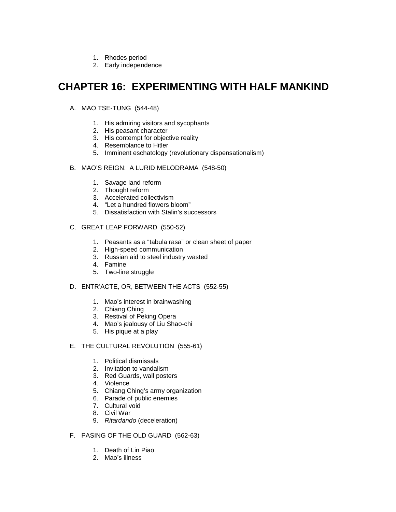- 1. Rhodes period
- 2. Early independence

## **CHAPTER 16: EXPERIMENTING WITH HALF MANKIND**

- A. MAO TSE-TUNG (544-48)
	- 1. His admiring visitors and sycophants
	- 2. His peasant character
	- 3. His contempt for objective reality
	- 4. Resemblance to Hitler
	- 5. Imminent eschatology (revolutionary dispensationalism)
- B. MAO'S REIGN: A LURID MELODRAMA (548-50)
	- 1. Savage land reform
	- 2. Thought reform
	- 3. Accelerated collectivism
	- 4. "Let a hundred flowers bloom"
	- 5. Dissatisfaction with Stalin's successors

## C. GREAT LEAP FORWARD (550-52)

- 1. Peasants as a "tabula rasa" or clean sheet of paper
- 2. High-speed communication
- 3. Russian aid to steel industry wasted
- 4. Famine
- 5. Two-line struggle

## D. ENTR'ACTE, OR, BETWEEN THE ACTS (552-55)

- 1. Mao's interest in brainwashing
- 2. Chiang Ching
- 3. Restival of Peking Opera
- 4. Mao's jealousy of Liu Shao-chi
- 5. His pique at a play

#### E. THE CULTURAL REVOLUTION (555-61)

- 1. Political dismissals
- 2. Invitation to vandalism
- 3. Red Guards, wall posters
- 4. Violence
- 5. Chiang Ching's army organization
- 6. Parade of public enemies
- 7. Cultural void
- 8. Civil War
- 9. *Ritardando* (deceleration)
- F. PASING OF THE OLD GUARD (562-63)
	- 1. Death of Lin Piao
	- 2. Mao's illness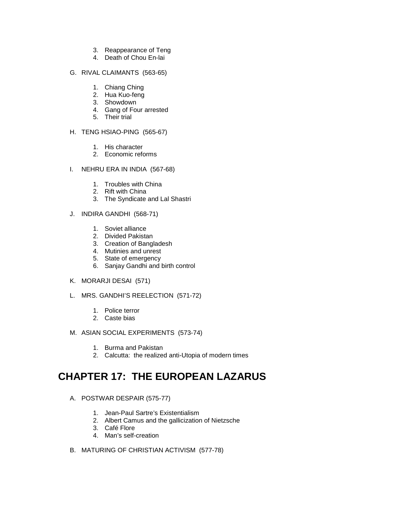- 3. Reappearance of Teng
- 4. Death of Chou En-lai

#### G. RIVAL CLAIMANTS (563-65)

- 1. Chiang Ching
- 2. Hua Kuo-feng
- 3. Showdown
- 4. Gang of Four arrested
- 5. Their trial

## H. TENG HSIAO-PING (565-67)

- 1. His character
- 2. Economic reforms
- I. NEHRU ERA IN INDIA (567-68)
	- 1. Troubles with China
	- 2. Rift with China
	- 3. The Syndicate and Lal Shastri
- J. INDIRA GANDHI (568-71)
	- 1. Soviet alliance
	- 2. Divided Pakistan
	- 3. Creation of Bangladesh
	- 4. Mutinies and unrest
	- 5. State of emergency
	- 6. Sanjay Gandhi and birth control
- K. MORARJI DESAI (571)
- L. MRS. GANDHI'S REELECTION (571-72)
	- 1. Police terror
	- 2. Caste bias
- M. ASIAN SOCIAL EXPERIMENTS (573-74)
	- 1. Burma and Pakistan
	- 2. Calcutta: the realized anti-Utopia of modern times

# **CHAPTER 17: THE EUROPEAN LAZARUS**

- A. POSTWAR DESPAIR (575-77)
	- 1. Jean-Paul Sartre's Existentialism
	- 2. Albert Camus and the gallicization of Nietzsche
	- 3. Café Flore
	- 4. Man's self-creation
- B. MATURING OF CHRISTIAN ACTIVISM (577-78)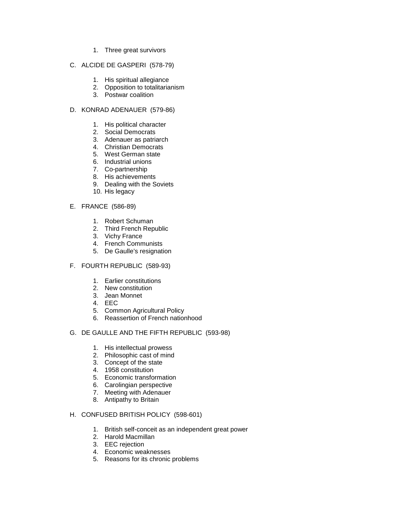1. Three great survivors

#### C. ALCIDE DE GASPERI (578-79)

- 1. His spiritual allegiance
- 2. Opposition to totalitarianism
- 3. Postwar coalition

#### D. KONRAD ADENAUER (579-86)

- 1. His political character
- 2. Social Democrats
- 3. Adenauer as patriarch
- 4. Christian Democrats
- 5. West German state
- 6. Industrial unions
- 7. Co-partnership
- 8. His achievements
- 9. Dealing with the Soviets
- 10. His legacy
- E. FRANCE (586-89)
	- 1. Robert Schuman
	- 2. Third French Republic
	- 3. Vichy France
	- 4. French Communists
	- 5. De Gaulle's resignation

#### F. FOURTH REPUBLIC (589-93)

- 1. Earlier constitutions
- 2. New constitution
- 3. Jean Monnet
- 4. EEC
- 5. Common Agricultural Policy
- 6. Reassertion of French nationhood
- G. DE GAULLE AND THE FIFTH REPUBLIC (593-98)
	- 1. His intellectual prowess
	- 2. Philosophic cast of mind
	- 3. Concept of the state
	- 4. 1958 constitution
	- 5. Economic transformation
	- 6. Carolingian perspective
	- 7. Meeting with Adenauer
	- 8. Antipathy to Britain

#### H. CONFUSED BRITISH POLICY (598-601)

- 1. British self-conceit as an independent great power
- 2. Harold Macmillan
- 3. EEC rejection
- 4. Economic weaknesses
- 5. Reasons for its chronic problems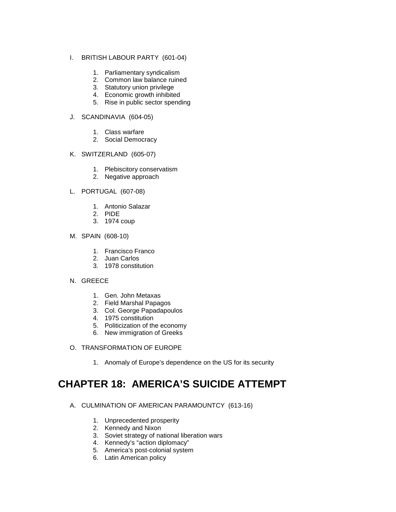#### I. BRITISH LABOUR PARTY (601-04)

- 1. Parliamentary syndicalism
- 2. Common law balance ruined
- 3. Statutory union privilege
- 4. Economic growth inhibited
- 5. Rise in public sector spending

#### J. SCANDINAVIA (604-05)

- 1. Class warfare
- 2. Social Democracy

#### K. SWITZERLAND (605-07)

- 1. Plebiscitory conservatism
- 2. Negative approach

#### L. PORTUGAL (607-08)

- 1. Antonio Salazar
- 2. PIDE
- 3. 1974 coup

## M. SPAIN (608-10)

- 1. Francisco Franco
- 2. Juan Carlos
- 3. 1978 constitution

#### N. GREECE

- 1. Gen. John Metaxas
- 2. Field Marshal Papagos
- 3. Col. George Papadapoulos
- 4. 1975 constitution
- 5. Politicization of the economy
- 6. New immigration of Greeks
- O. TRANSFORMATION OF EUROPE
	- 1. Anomaly of Europe's dependence on the US for its security

# **CHAPTER 18: AMERICA'S SUICIDE ATTEMPT**

- A. CULMINATION OF AMERICAN PARAMOUNTCY (613-16)
	- 1. Unprecedented prosperity
	- 2. Kennedy and Nixon
	- 3. Soviet strategy of national liberation wars
	- 4. Kennedy's "action diplomacy"
	- 5. America's post-colonial system
	- 6. Latin American policy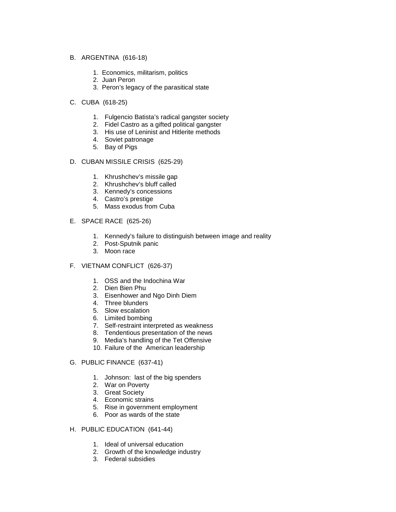- B. ARGENTINA (616-18)
	- 1. Economics, militarism, politics
	- 2. Juan Peron
	- 3. Peron's legacy of the parasitical state
- C. CUBA (618-25)
	- 1. Fulgencio Batista's radical gangster society
	- 2. Fidel Castro as a gifted political gangster
	- 3. His use of Leninist and Hitlerite methods
	- 4. Soviet patronage
	- 5. Bay of Pigs
- D. CUBAN MISSILE CRISIS (625-29)
	- 1. Khrushchev's missile gap
	- 2. Khrushchev's bluff called
	- 3. Kennedy's concessions
	- 4. Castro's prestige
	- 5. Mass exodus from Cuba
- E. SPACE RACE (625-26)
	- 1. Kennedy's failure to distinguish between image and reality
	- 2. Post-Sputnik panic
	- 3. Moon race
- F. VIETNAM CONFLICT (626-37)
	- 1. OSS and the Indochina War
	- 2. Dien Bien Phu
	- 3. Eisenhower and Ngo Dinh Diem
	- 4. Three blunders
	- 5. Slow escalation
	- 6. Limited bombing
	- 7. Self-restraint interpreted as weakness
	- 8. Tendentious presentation of the news
	- 9. Media's handling of the Tet Offensive
	- 10. Failure of the American leadership
- G. PUBLIC FINANCE (637-41)
	- 1. Johnson: last of the big spenders
	- 2. War on Poverty
	- 3. Great Society
	- 4. Economic strains
	- 5. Rise in government employment
	- 6. Poor as wards of the state
- H. PUBLIC EDUCATION (641-44)
	- 1. Ideal of universal education
	- 2. Growth of the knowledge industry
	- 3. Federal subsidies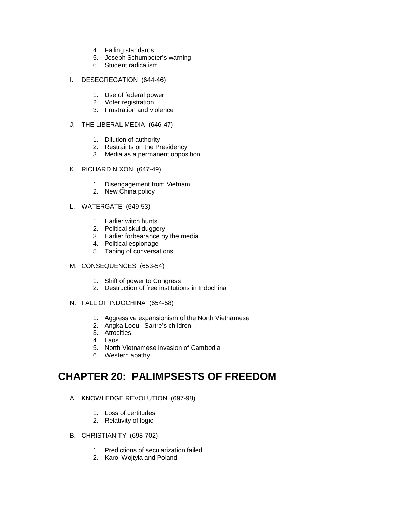- 4. Falling standards
- 5. Joseph Schumpeter's warning
- 6. Student radicalism

#### I. DESEGREGATION (644-46)

- 1. Use of federal power
- 2. Voter registration
- 3. Frustration and violence

#### J. THE LIBERAL MEDIA (646-47)

- 1. Dilution of authority
- 2. Restraints on the Presidency
- 3. Media as a permanent opposition
- K. RICHARD NIXON (647-49)
	- 1. Disengagement from Vietnam
	- 2. New China policy
- L. WATERGATE (649-53)
	- 1. Earlier witch hunts
	- 2. Political skullduggery
	- 3. Earlier forbearance by the media
	- 4. Political espionage
	- 5. Taping of conversations
- M. CONSEQUENCES (653-54)
	- 1. Shift of power to Congress
	- 2. Destruction of free institutions in Indochina
- N. FALL OF INDOCHINA (654-58)
	- 1. Aggressive expansionism of the North Vietnamese
	- 2. Angka Loeu: Sartre's children
	- 3. Atrocities
	- 4. Laos
	- 5. North Vietnamese invasion of Cambodia
	- 6. Western apathy

## **CHAPTER 20: PALIMPSESTS OF FREEDOM**

- A. KNOWLEDGE REVOLUTION (697-98)
	- 1. Loss of certitudes
	- 2. Relativity of logic
- B. CHRISTIANITY (698-702)
	- 1. Predictions of secularization failed
	- 2. Karol Wojtyla and Poland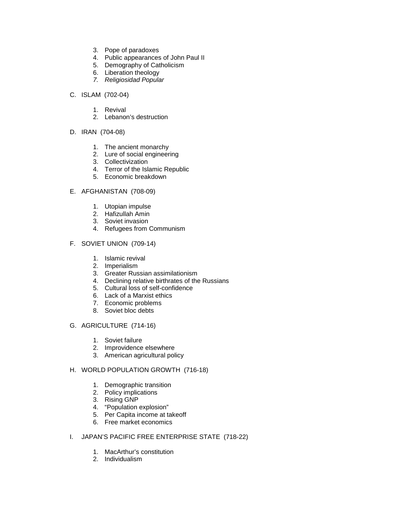- 3. Pope of paradoxes
- 4. Public appearances of John Paul II
- 5. Demography of Catholicism
- 6. Liberation theology
- *7. Religiosidad Popular*
- C. ISLAM (702-04)
	- 1. Revival
	- 2. Lebanon's destruction
- D. IRAN (704-08)
	- 1. The ancient monarchy
	- 2. Lure of social engineering
	- 3. Collectivization
	- 4. Terror of the Islamic Republic
	- 5. Economic breakdown

#### E. AFGHANISTAN (708-09)

- 1. Utopian impulse
- 2. Hafizullah Amin
- 3. Soviet invasion
- 4. Refugees from Communism

#### F. SOVIET UNION (709-14)

- 1. Islamic revival
- 2. Imperialism
- 3. Greater Russian assimilationism
- 4. Declining relative birthrates of the Russians
- 5. Cultural loss of self-confidence
- 6. Lack of a Marxist ethics
- 7. Economic problems
- 8. Soviet bloc debts

#### G. AGRICULTURE (714-16)

- 1. Soviet failure
- 2. Improvidence elsewhere
- 3. American agricultural policy

## H. WORLD POPULATION GROWTH (716-18)

- 1. Demographic transition
- 2. Policy implications
- 3. Rising GNP
- 4. "Population explosion"
- 5. Per Capita income at takeoff
- 6. Free market economics

## I. JAPAN'S PACIFIC FREE ENTERPRISE STATE (718-22)

- 1. MacArthur's constitution
- 2. Individualism